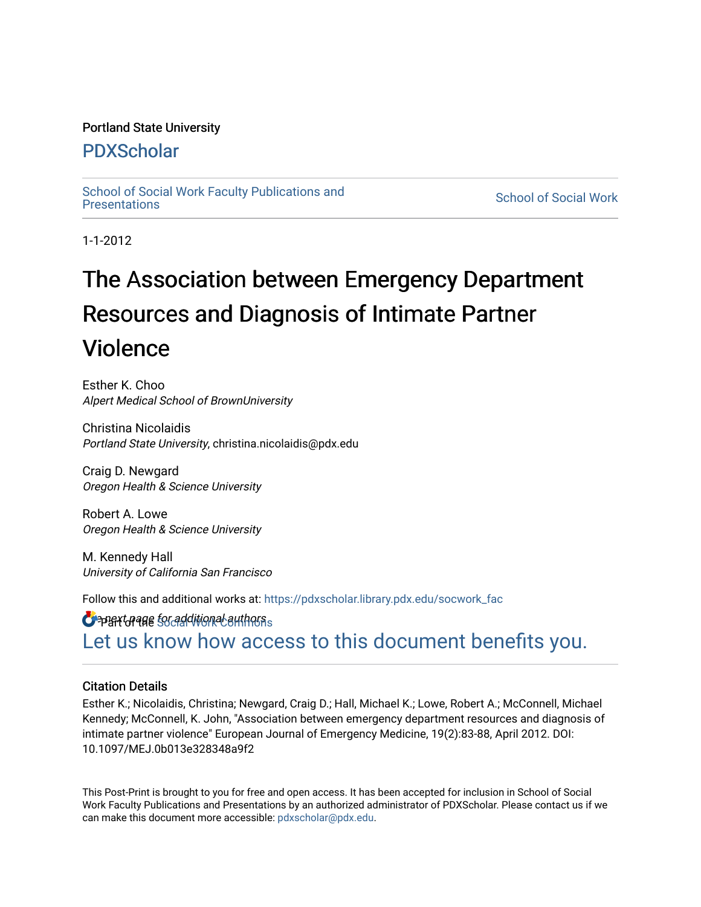## Portland State University

## [PDXScholar](https://pdxscholar.library.pdx.edu/)

School of Social Work Faculty Publications and<br>Presentations

**School of Social Work** 

1-1-2012

# The Association between Emergency Department Resources and Diagnosis of Intimate Partner Violence

Esther K. Choo Alpert Medical School of BrownUniversity

Christina Nicolaidis Portland State University, christina.nicolaidis@pdx.edu

Craig D. Newgard Oregon Health & Science University

Robert A. Lowe Oregon Health & Science University

M. Kennedy Hall University of California San Francisco

Follow this and additional works at: [https://pdxscholar.library.pdx.edu/socwork\\_fac](https://pdxscholar.library.pdx.edu/socwork_fac?utm_source=pdxscholar.library.pdx.edu%2Fsocwork_fac%2F67&utm_medium=PDF&utm_campaign=PDFCoverPages) 

 $\bullet$  part of also for additional authors  $\,$ [Let us know how access to this document benefits you.](http://library.pdx.edu/services/pdxscholar-services/pdxscholar-feedback/?ref=https://pdxscholar.library.pdx.edu/socwork_fac/67) 

## Citation Details

Esther K.; Nicolaidis, Christina; Newgard, Craig D.; Hall, Michael K.; Lowe, Robert A.; McConnell, Michael Kennedy; McConnell, K. John, "Association between emergency department resources and diagnosis of intimate partner violence" European Journal of Emergency Medicine, 19(2):83-88, April 2012. DOI: 10.1097/MEJ.0b013e328348a9f2

This Post-Print is brought to you for free and open access. It has been accepted for inclusion in School of Social Work Faculty Publications and Presentations by an authorized administrator of PDXScholar. Please contact us if we can make this document more accessible: [pdxscholar@pdx.edu.](mailto:pdxscholar@pdx.edu)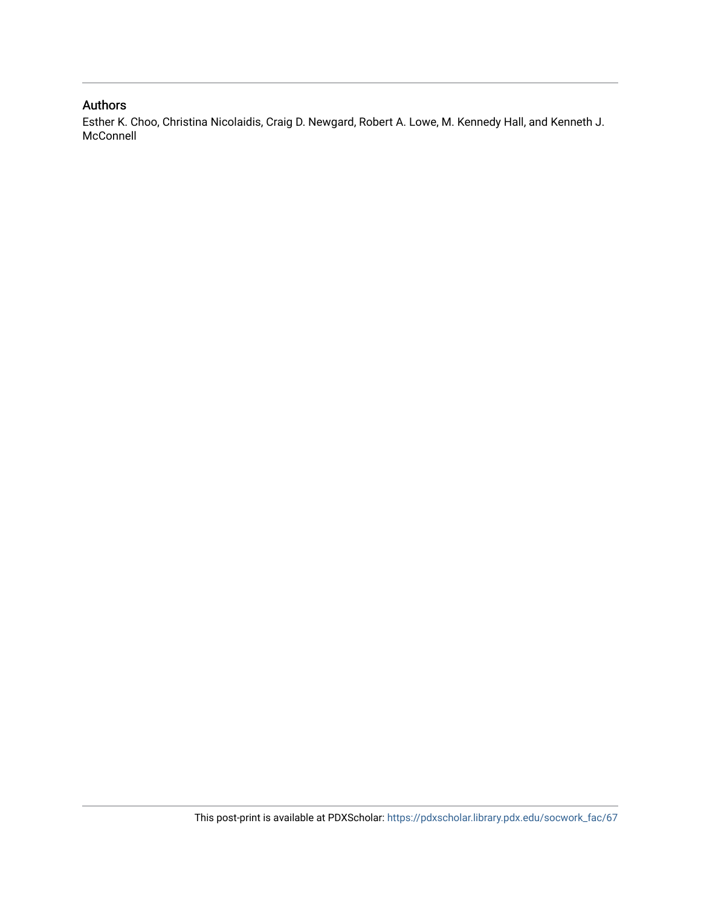## Authors

Esther K. Choo, Christina Nicolaidis, Craig D. Newgard, Robert A. Lowe, M. Kennedy Hall, and Kenneth J. McConnell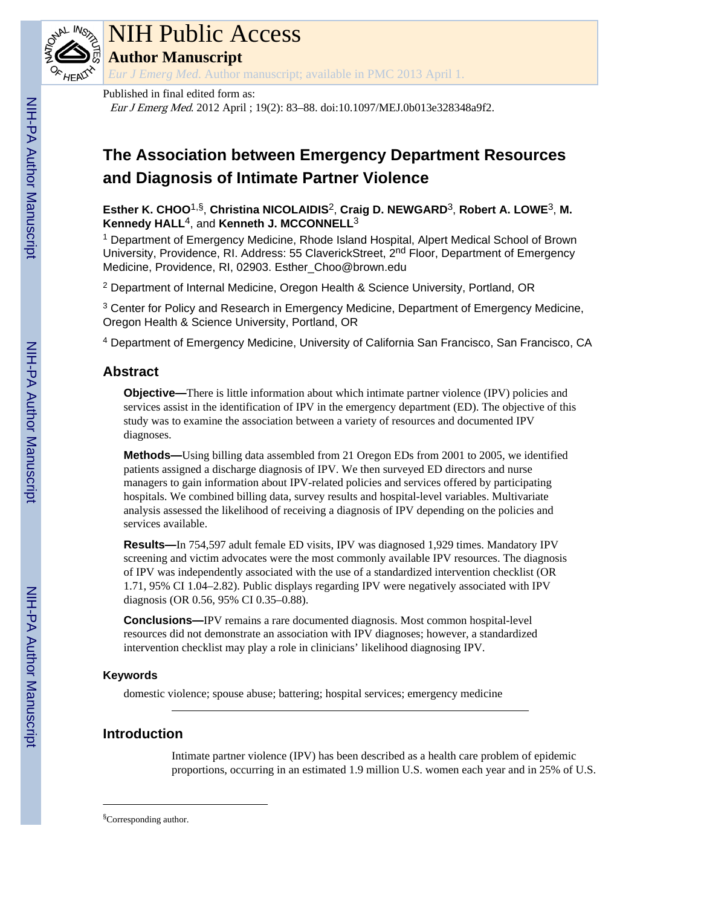# **The Association between Emergency Department Resources and Diagnosis of Intimate Partner Violence**

## **Esther K. CHOO**1,§, **Christina NICOLAIDIS**2, **Craig D. NEWGARD**3, **Robert A. LOWE**3, **M. Kennedy HALL**4, and **Kenneth J. MCCONNELL**<sup>3</sup>

<sup>1</sup> Department of Emergency Medicine, Rhode Island Hospital, Alpert Medical School of Brown University, Providence, RI. Address: 55 ClaverickStreet, 2<sup>nd</sup> Floor, Department of Emergency Medicine, Providence, RI, 02903. Esther\_Choo@brown.edu

<sup>2</sup> Department of Internal Medicine, Oregon Health & Science University, Portland, OR

<sup>3</sup> Center for Policy and Research in Emergency Medicine, Department of Emergency Medicine, Oregon Health & Science University, Portland, OR

<sup>4</sup> Department of Emergency Medicine, University of California San Francisco, San Francisco, CA

## **Abstract**

**Objective—There is little information about which intimate partner violence (IPV) policies and** services assist in the identification of IPV in the emergency department (ED). The objective of this study was to examine the association between a variety of resources and documented IPV diagnoses.

**Methods—**Using billing data assembled from 21 Oregon EDs from 2001 to 2005, we identified patients assigned a discharge diagnosis of IPV. We then surveyed ED directors and nurse managers to gain information about IPV-related policies and services offered by participating hospitals. We combined billing data, survey results and hospital-level variables. Multivariate analysis assessed the likelihood of receiving a diagnosis of IPV depending on the policies and services available.

**Results—**In 754,597 adult female ED visits, IPV was diagnosed 1,929 times. Mandatory IPV screening and victim advocates were the most commonly available IPV resources. The diagnosis of IPV was independently associated with the use of a standardized intervention checklist (OR 1.71, 95% CI 1.04–2.82). Public displays regarding IPV were negatively associated with IPV diagnosis (OR 0.56, 95% CI 0.35–0.88).

**Conclusions—**IPV remains a rare documented diagnosis. Most common hospital-level resources did not demonstrate an association with IPV diagnoses; however, a standardized intervention checklist may play a role in clinicians' likelihood diagnosing IPV.

## **Keywords**

domestic violence; spouse abuse; battering; hospital services; emergency medicine

## **Introduction**

Intimate partner violence (IPV) has been described as a health care problem of epidemic proportions, occurring in an estimated 1.9 million U.S. women each year and in 25% of U.S.

<sup>§</sup>Corresponding author.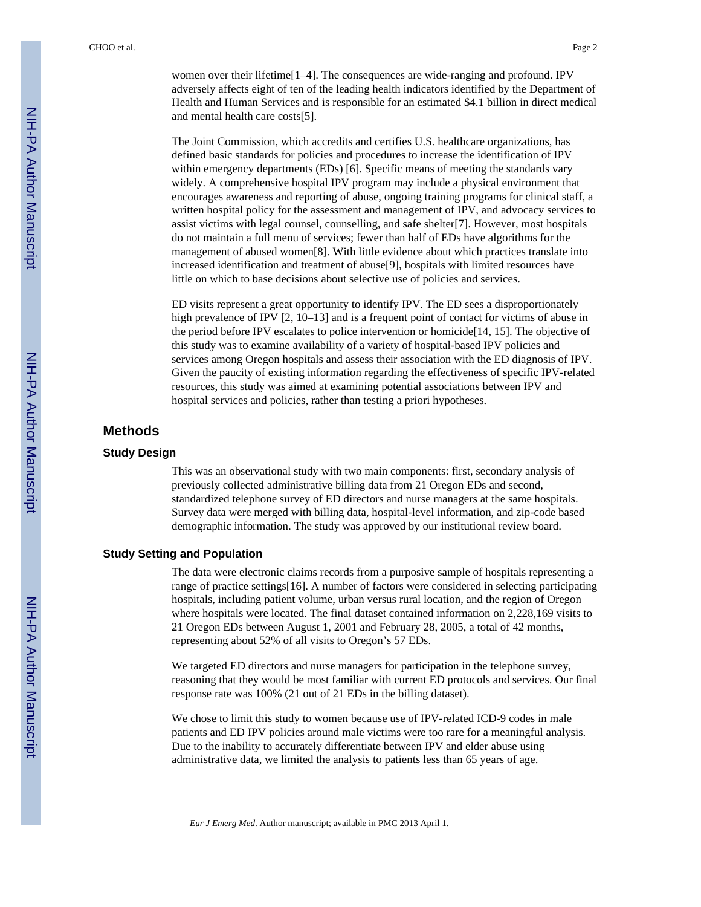women over their lifetime<sup>[1–4]</sup>. The consequences are wide-ranging and profound. IPV adversely affects eight of ten of the leading health indicators identified by the Department of Health and Human Services and is responsible for an estimated \$4.1 billion in direct medical and mental health care costs[5].

The Joint Commission, which accredits and certifies U.S. healthcare organizations, has defined basic standards for policies and procedures to increase the identification of IPV within emergency departments (EDs) [6]. Specific means of meeting the standards vary widely. A comprehensive hospital IPV program may include a physical environment that encourages awareness and reporting of abuse, ongoing training programs for clinical staff, a written hospital policy for the assessment and management of IPV, and advocacy services to assist victims with legal counsel, counselling, and safe shelter[7]. However, most hospitals do not maintain a full menu of services; fewer than half of EDs have algorithms for the management of abused women[8]. With little evidence about which practices translate into increased identification and treatment of abuse[9], hospitals with limited resources have little on which to base decisions about selective use of policies and services.

ED visits represent a great opportunity to identify IPV. The ED sees a disproportionately high prevalence of IPV [2, 10–13] and is a frequent point of contact for victims of abuse in the period before IPV escalates to police intervention or homicide[14, 15]. The objective of this study was to examine availability of a variety of hospital-based IPV policies and services among Oregon hospitals and assess their association with the ED diagnosis of IPV. Given the paucity of existing information regarding the effectiveness of specific IPV-related resources, this study was aimed at examining potential associations between IPV and hospital services and policies, rather than testing a priori hypotheses.

## **Methods**

#### **Study Design**

This was an observational study with two main components: first, secondary analysis of previously collected administrative billing data from 21 Oregon EDs and second, standardized telephone survey of ED directors and nurse managers at the same hospitals. Survey data were merged with billing data, hospital-level information, and zip-code based demographic information. The study was approved by our institutional review board.

#### **Study Setting and Population**

The data were electronic claims records from a purposive sample of hospitals representing a range of practice settings[16]. A number of factors were considered in selecting participating hospitals, including patient volume, urban versus rural location, and the region of Oregon where hospitals were located. The final dataset contained information on 2,228,169 visits to 21 Oregon EDs between August 1, 2001 and February 28, 2005, a total of 42 months, representing about 52% of all visits to Oregon's 57 EDs.

We targeted ED directors and nurse managers for participation in the telephone survey, reasoning that they would be most familiar with current ED protocols and services. Our final response rate was 100% (21 out of 21 EDs in the billing dataset).

We chose to limit this study to women because use of IPV-related ICD-9 codes in male patients and ED IPV policies around male victims were too rare for a meaningful analysis. Due to the inability to accurately differentiate between IPV and elder abuse using administrative data, we limited the analysis to patients less than 65 years of age.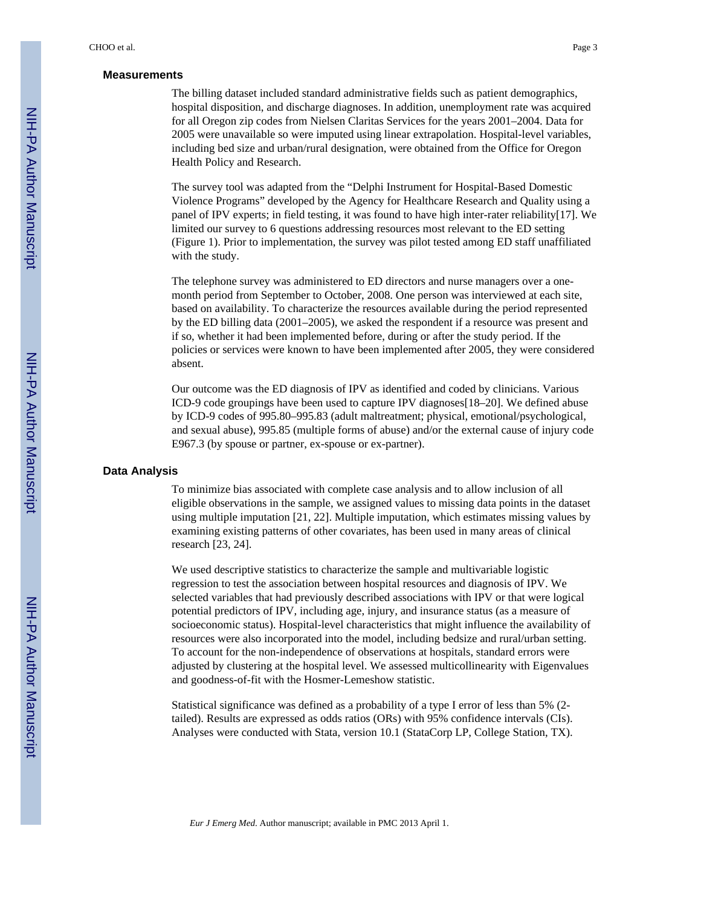#### **Measurements**

The billing dataset included standard administrative fields such as patient demographics, hospital disposition, and discharge diagnoses. In addition, unemployment rate was acquired for all Oregon zip codes from Nielsen Claritas Services for the years 2001–2004. Data for 2005 were unavailable so were imputed using linear extrapolation. Hospital-level variables, including bed size and urban/rural designation, were obtained from the Office for Oregon Health Policy and Research.

The survey tool was adapted from the "Delphi Instrument for Hospital-Based Domestic Violence Programs" developed by the Agency for Healthcare Research and Quality using a panel of IPV experts; in field testing, it was found to have high inter-rater reliability[17]. We limited our survey to 6 questions addressing resources most relevant to the ED setting (Figure 1). Prior to implementation, the survey was pilot tested among ED staff unaffiliated with the study.

The telephone survey was administered to ED directors and nurse managers over a onemonth period from September to October, 2008. One person was interviewed at each site, based on availability. To characterize the resources available during the period represented by the ED billing data (2001–2005), we asked the respondent if a resource was present and if so, whether it had been implemented before, during or after the study period. If the policies or services were known to have been implemented after 2005, they were considered absent.

Our outcome was the ED diagnosis of IPV as identified and coded by clinicians. Various ICD-9 code groupings have been used to capture IPV diagnoses[18–20]. We defined abuse by ICD-9 codes of 995.80–995.83 (adult maltreatment; physical, emotional/psychological, and sexual abuse), 995.85 (multiple forms of abuse) and/or the external cause of injury code E967.3 (by spouse or partner, ex-spouse or ex-partner).

#### **Data Analysis**

To minimize bias associated with complete case analysis and to allow inclusion of all eligible observations in the sample, we assigned values to missing data points in the dataset using multiple imputation [21, 22]. Multiple imputation, which estimates missing values by examining existing patterns of other covariates, has been used in many areas of clinical research [23, 24].

We used descriptive statistics to characterize the sample and multivariable logistic regression to test the association between hospital resources and diagnosis of IPV. We selected variables that had previously described associations with IPV or that were logical potential predictors of IPV, including age, injury, and insurance status (as a measure of socioeconomic status). Hospital-level characteristics that might influence the availability of resources were also incorporated into the model, including bedsize and rural/urban setting. To account for the non-independence of observations at hospitals, standard errors were adjusted by clustering at the hospital level. We assessed multicollinearity with Eigenvalues and goodness-of-fit with the Hosmer-Lemeshow statistic.

Statistical significance was defined as a probability of a type I error of less than 5% (2 tailed). Results are expressed as odds ratios (ORs) with 95% confidence intervals (CIs). Analyses were conducted with Stata, version 10.1 (StataCorp LP, College Station, TX).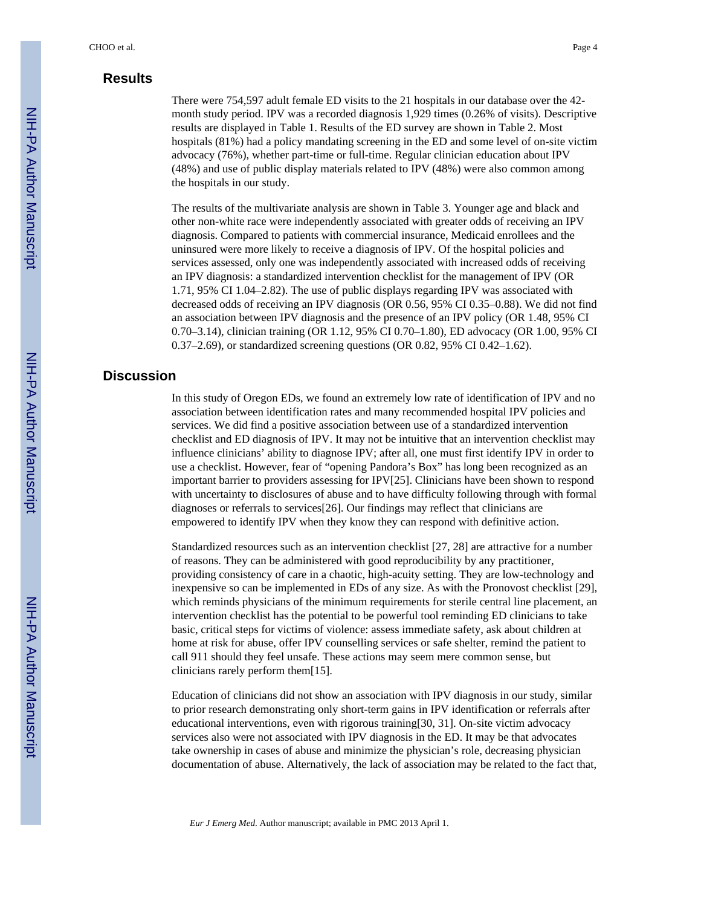## **Results**

There were 754,597 adult female ED visits to the 21 hospitals in our database over the 42 month study period. IPV was a recorded diagnosis 1,929 times (0.26% of visits). Descriptive results are displayed in Table 1. Results of the ED survey are shown in Table 2. Most hospitals (81%) had a policy mandating screening in the ED and some level of on-site victim advocacy (76%), whether part-time or full-time. Regular clinician education about IPV (48%) and use of public display materials related to IPV (48%) were also common among the hospitals in our study.

The results of the multivariate analysis are shown in Table 3. Younger age and black and other non-white race were independently associated with greater odds of receiving an IPV diagnosis. Compared to patients with commercial insurance, Medicaid enrollees and the uninsured were more likely to receive a diagnosis of IPV. Of the hospital policies and services assessed, only one was independently associated with increased odds of receiving an IPV diagnosis: a standardized intervention checklist for the management of IPV (OR 1.71, 95% CI 1.04–2.82). The use of public displays regarding IPV was associated with decreased odds of receiving an IPV diagnosis (OR 0.56, 95% CI 0.35–0.88). We did not find an association between IPV diagnosis and the presence of an IPV policy (OR 1.48, 95% CI 0.70–3.14), clinician training (OR 1.12, 95% CI 0.70–1.80), ED advocacy (OR 1.00, 95% CI 0.37–2.69), or standardized screening questions (OR 0.82, 95% CI 0.42–1.62).

## **Discussion**

In this study of Oregon EDs, we found an extremely low rate of identification of IPV and no association between identification rates and many recommended hospital IPV policies and services. We did find a positive association between use of a standardized intervention checklist and ED diagnosis of IPV. It may not be intuitive that an intervention checklist may influence clinicians' ability to diagnose IPV; after all, one must first identify IPV in order to use a checklist. However, fear of "opening Pandora's Box" has long been recognized as an important barrier to providers assessing for IPV[25]. Clinicians have been shown to respond with uncertainty to disclosures of abuse and to have difficulty following through with formal diagnoses or referrals to services[26]. Our findings may reflect that clinicians are empowered to identify IPV when they know they can respond with definitive action.

Standardized resources such as an intervention checklist [27, 28] are attractive for a number of reasons. They can be administered with good reproducibility by any practitioner, providing consistency of care in a chaotic, high-acuity setting. They are low-technology and inexpensive so can be implemented in EDs of any size. As with the Pronovost checklist [29], which reminds physicians of the minimum requirements for sterile central line placement, an intervention checklist has the potential to be powerful tool reminding ED clinicians to take basic, critical steps for victims of violence: assess immediate safety, ask about children at home at risk for abuse, offer IPV counselling services or safe shelter, remind the patient to call 911 should they feel unsafe. These actions may seem mere common sense, but clinicians rarely perform them[15].

Education of clinicians did not show an association with IPV diagnosis in our study, similar to prior research demonstrating only short-term gains in IPV identification or referrals after educational interventions, even with rigorous training[30, 31]. On-site victim advocacy services also were not associated with IPV diagnosis in the ED. It may be that advocates take ownership in cases of abuse and minimize the physician's role, decreasing physician documentation of abuse. Alternatively, the lack of association may be related to the fact that,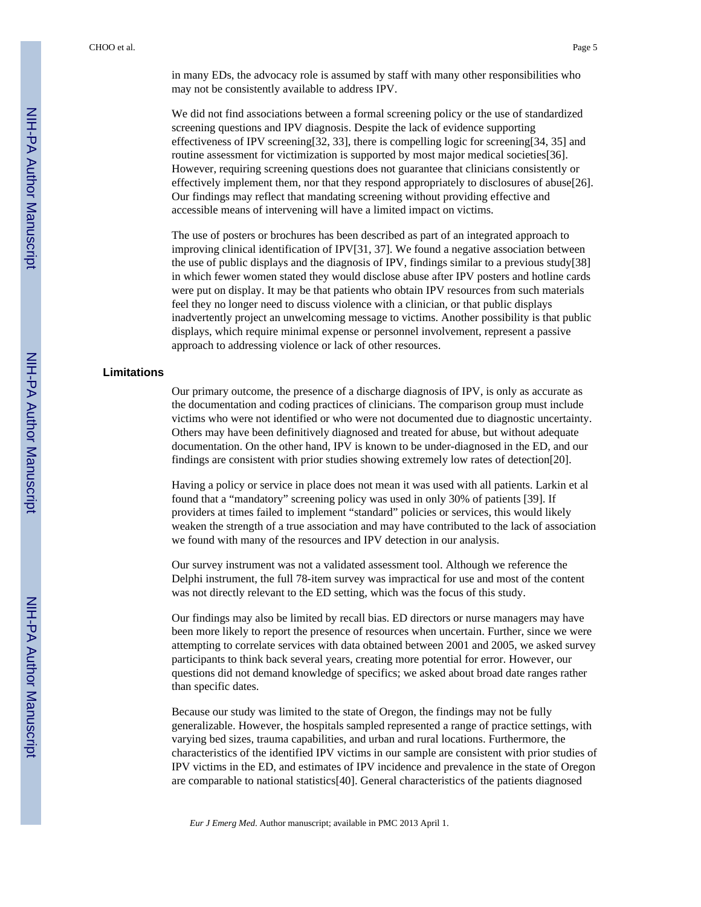in many EDs, the advocacy role is assumed by staff with many other responsibilities who may not be consistently available to address IPV.

We did not find associations between a formal screening policy or the use of standardized screening questions and IPV diagnosis. Despite the lack of evidence supporting effectiveness of IPV screening[32, 33], there is compelling logic for screening[34, 35] and routine assessment for victimization is supported by most major medical societies[36]. However, requiring screening questions does not guarantee that clinicians consistently or effectively implement them, nor that they respond appropriately to disclosures of abuse[26]. Our findings may reflect that mandating screening without providing effective and accessible means of intervening will have a limited impact on victims.

The use of posters or brochures has been described as part of an integrated approach to improving clinical identification of IPV[31, 37]. We found a negative association between the use of public displays and the diagnosis of IPV, findings similar to a previous study[38] in which fewer women stated they would disclose abuse after IPV posters and hotline cards were put on display. It may be that patients who obtain IPV resources from such materials feel they no longer need to discuss violence with a clinician, or that public displays inadvertently project an unwelcoming message to victims. Another possibility is that public displays, which require minimal expense or personnel involvement, represent a passive approach to addressing violence or lack of other resources.

#### **Limitations**

Our primary outcome, the presence of a discharge diagnosis of IPV, is only as accurate as the documentation and coding practices of clinicians. The comparison group must include victims who were not identified or who were not documented due to diagnostic uncertainty. Others may have been definitively diagnosed and treated for abuse, but without adequate documentation. On the other hand, IPV is known to be under-diagnosed in the ED, and our findings are consistent with prior studies showing extremely low rates of detection[20].

Having a policy or service in place does not mean it was used with all patients. Larkin et al found that a "mandatory" screening policy was used in only 30% of patients [39]. If providers at times failed to implement "standard" policies or services, this would likely weaken the strength of a true association and may have contributed to the lack of association we found with many of the resources and IPV detection in our analysis.

Our survey instrument was not a validated assessment tool. Although we reference the Delphi instrument, the full 78-item survey was impractical for use and most of the content was not directly relevant to the ED setting, which was the focus of this study.

Our findings may also be limited by recall bias. ED directors or nurse managers may have been more likely to report the presence of resources when uncertain. Further, since we were attempting to correlate services with data obtained between 2001 and 2005, we asked survey participants to think back several years, creating more potential for error. However, our questions did not demand knowledge of specifics; we asked about broad date ranges rather than specific dates.

Because our study was limited to the state of Oregon, the findings may not be fully generalizable. However, the hospitals sampled represented a range of practice settings, with varying bed sizes, trauma capabilities, and urban and rural locations. Furthermore, the characteristics of the identified IPV victims in our sample are consistent with prior studies of IPV victims in the ED, and estimates of IPV incidence and prevalence in the state of Oregon are comparable to national statistics[40]. General characteristics of the patients diagnosed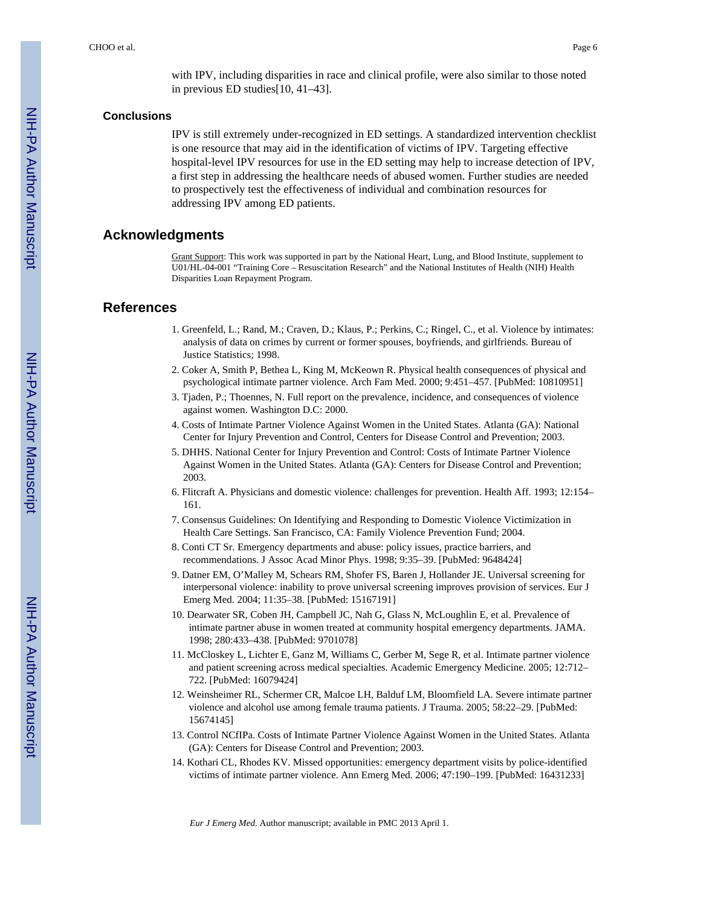with IPV, including disparities in race and clinical profile, were also similar to those noted in previous ED studies[10, 41–43].

#### **Conclusions**

IPV is still extremely under-recognized in ED settings. A standardized intervention checklist is one resource that may aid in the identification of victims of IPV. Targeting effective hospital-level IPV resources for use in the ED setting may help to increase detection of IPV, a first step in addressing the healthcare needs of abused women. Further studies are needed to prospectively test the effectiveness of individual and combination resources for addressing IPV among ED patients.

#### **Acknowledgments**

Grant Support: This work was supported in part by the National Heart, Lung, and Blood Institute, supplement to U01/HL-04-001 "Training Core – Resuscitation Research" and the National Institutes of Health (NIH) Health Disparities Loan Repayment Program.

#### **References**

- 1. Greenfeld, L.; Rand, M.; Craven, D.; Klaus, P.; Perkins, C.; Ringel, C., et al. Violence by intimates: analysis of data on crimes by current or former spouses, boyfriends, and girlfriends. Bureau of Justice Statistics; 1998.
- 2. Coker A, Smith P, Bethea L, King M, McKeown R. Physical health consequences of physical and psychological intimate partner violence. Arch Fam Med. 2000; 9:451–457. [PubMed: 10810951]
- 3. Tjaden, P.; Thoennes, N. Full report on the prevalence, incidence, and consequences of violence against women. Washington D.C: 2000.
- 4. Costs of Intimate Partner Violence Against Women in the United States. Atlanta (GA): National Center for Injury Prevention and Control, Centers for Disease Control and Prevention; 2003.
- 5. DHHS. National Center for Injury Prevention and Control: Costs of Intimate Partner Violence Against Women in the United States. Atlanta (GA): Centers for Disease Control and Prevention; 2003.
- 6. Flitcraft A. Physicians and domestic violence: challenges for prevention. Health Aff. 1993; 12:154– 161.
- 7. Consensus Guidelines: On Identifying and Responding to Domestic Violence Victimization in Health Care Settings. San Francisco, CA: Family Violence Prevention Fund; 2004.
- 8. Conti CT Sr. Emergency departments and abuse: policy issues, practice barriers, and recommendations. J Assoc Acad Minor Phys. 1998; 9:35–39. [PubMed: 9648424]
- 9. Datner EM, O'Malley M, Schears RM, Shofer FS, Baren J, Hollander JE. Universal screening for interpersonal violence: inability to prove universal screening improves provision of services. Eur J Emerg Med. 2004; 11:35–38. [PubMed: 15167191]
- 10. Dearwater SR, Coben JH, Campbell JC, Nah G, Glass N, McLoughlin E, et al. Prevalence of intimate partner abuse in women treated at community hospital emergency departments. JAMA. 1998; 280:433–438. [PubMed: 9701078]
- 11. McCloskey L, Lichter E, Ganz M, Williams C, Gerber M, Sege R, et al. Intimate partner violence and patient screening across medical specialties. Academic Emergency Medicine. 2005; 12:712– 722. [PubMed: 16079424]
- 12. Weinsheimer RL, Schermer CR, Malcoe LH, Balduf LM, Bloomfield LA. Severe intimate partner violence and alcohol use among female trauma patients. J Trauma. 2005; 58:22–29. [PubMed: 15674145]
- 13. Control NCfIPa. Costs of Intimate Partner Violence Against Women in the United States. Atlanta (GA): Centers for Disease Control and Prevention; 2003.
- 14. Kothari CL, Rhodes KV. Missed opportunities: emergency department visits by police-identified victims of intimate partner violence. Ann Emerg Med. 2006; 47:190–199. [PubMed: 16431233]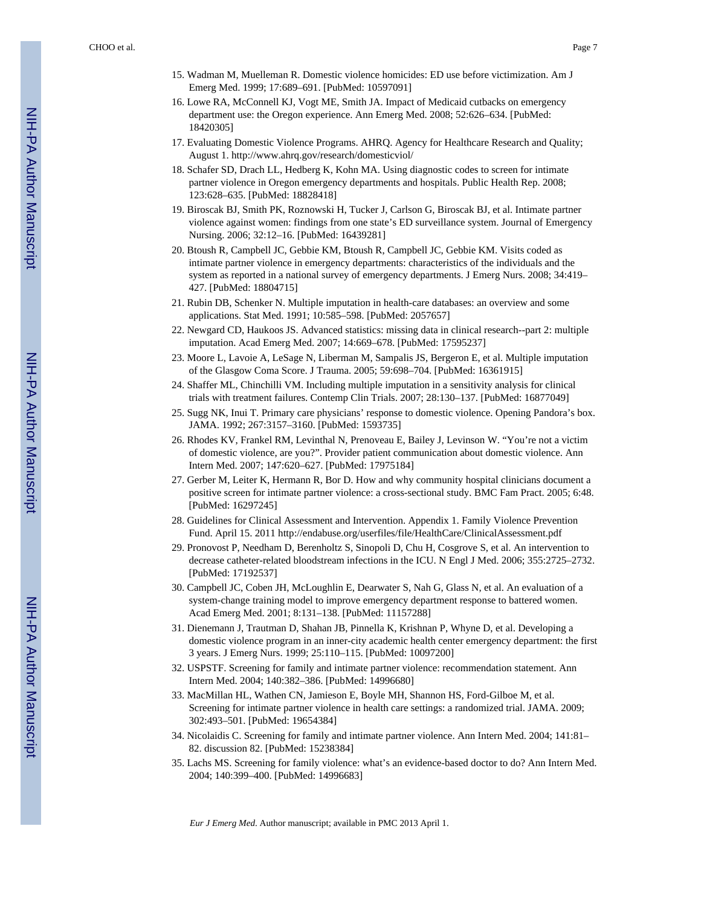- 15. Wadman M, Muelleman R. Domestic violence homicides: ED use before victimization. Am J Emerg Med. 1999; 17:689–691. [PubMed: 10597091]
- 16. Lowe RA, McConnell KJ, Vogt ME, Smith JA. Impact of Medicaid cutbacks on emergency department use: the Oregon experience. Ann Emerg Med. 2008; 52:626–634. [PubMed: 18420305]
- 17. Evaluating Domestic Violence Programs. AHRQ. Agency for Healthcare Research and Quality; August 1.<http://www.ahrq.gov/research/domesticviol/>
- 18. Schafer SD, Drach LL, Hedberg K, Kohn MA. Using diagnostic codes to screen for intimate partner violence in Oregon emergency departments and hospitals. Public Health Rep. 2008; 123:628–635. [PubMed: 18828418]
- 19. Biroscak BJ, Smith PK, Roznowski H, Tucker J, Carlson G, Biroscak BJ, et al. Intimate partner violence against women: findings from one state's ED surveillance system. Journal of Emergency Nursing. 2006; 32:12–16. [PubMed: 16439281]
- 20. Btoush R, Campbell JC, Gebbie KM, Btoush R, Campbell JC, Gebbie KM. Visits coded as intimate partner violence in emergency departments: characteristics of the individuals and the system as reported in a national survey of emergency departments. J Emerg Nurs. 2008; 34:419– 427. [PubMed: 18804715]
- 21. Rubin DB, Schenker N. Multiple imputation in health-care databases: an overview and some applications. Stat Med. 1991; 10:585–598. [PubMed: 2057657]
- 22. Newgard CD, Haukoos JS. Advanced statistics: missing data in clinical research--part 2: multiple imputation. Acad Emerg Med. 2007; 14:669–678. [PubMed: 17595237]
- 23. Moore L, Lavoie A, LeSage N, Liberman M, Sampalis JS, Bergeron E, et al. Multiple imputation of the Glasgow Coma Score. J Trauma. 2005; 59:698–704. [PubMed: 16361915]
- 24. Shaffer ML, Chinchilli VM. Including multiple imputation in a sensitivity analysis for clinical trials with treatment failures. Contemp Clin Trials. 2007; 28:130–137. [PubMed: 16877049]
- 25. Sugg NK, Inui T. Primary care physicians' response to domestic violence. Opening Pandora's box. JAMA. 1992; 267:3157–3160. [PubMed: 1593735]
- 26. Rhodes KV, Frankel RM, Levinthal N, Prenoveau E, Bailey J, Levinson W. "You're not a victim of domestic violence, are you?". Provider patient communication about domestic violence. Ann Intern Med. 2007; 147:620–627. [PubMed: 17975184]
- 27. Gerber M, Leiter K, Hermann R, Bor D. How and why community hospital clinicians document a positive screen for intimate partner violence: a cross-sectional study. BMC Fam Pract. 2005; 6:48. [PubMed: 16297245]
- 28. Guidelines for Clinical Assessment and Intervention. Appendix 1. Family Violence Prevention Fund. April 15. 2011<http://endabuse.org/userfiles/file/HealthCare/ClinicalAssessment.pdf>
- 29. Pronovost P, Needham D, Berenholtz S, Sinopoli D, Chu H, Cosgrove S, et al. An intervention to decrease catheter-related bloodstream infections in the ICU. N Engl J Med. 2006; 355:2725–2732. [PubMed: 17192537]
- 30. Campbell JC, Coben JH, McLoughlin E, Dearwater S, Nah G, Glass N, et al. An evaluation of a system-change training model to improve emergency department response to battered women. Acad Emerg Med. 2001; 8:131–138. [PubMed: 11157288]
- 31. Dienemann J, Trautman D, Shahan JB, Pinnella K, Krishnan P, Whyne D, et al. Developing a domestic violence program in an inner-city academic health center emergency department: the first 3 years. J Emerg Nurs. 1999; 25:110–115. [PubMed: 10097200]
- 32. USPSTF. Screening for family and intimate partner violence: recommendation statement. Ann Intern Med. 2004; 140:382–386. [PubMed: 14996680]
- 33. MacMillan HL, Wathen CN, Jamieson E, Boyle MH, Shannon HS, Ford-Gilboe M, et al. Screening for intimate partner violence in health care settings: a randomized trial. JAMA. 2009; 302:493–501. [PubMed: 19654384]
- 34. Nicolaidis C. Screening for family and intimate partner violence. Ann Intern Med. 2004; 141:81– 82. discussion 82. [PubMed: 15238384]
- 35. Lachs MS. Screening for family violence: what's an evidence-based doctor to do? Ann Intern Med. 2004; 140:399–400. [PubMed: 14996683]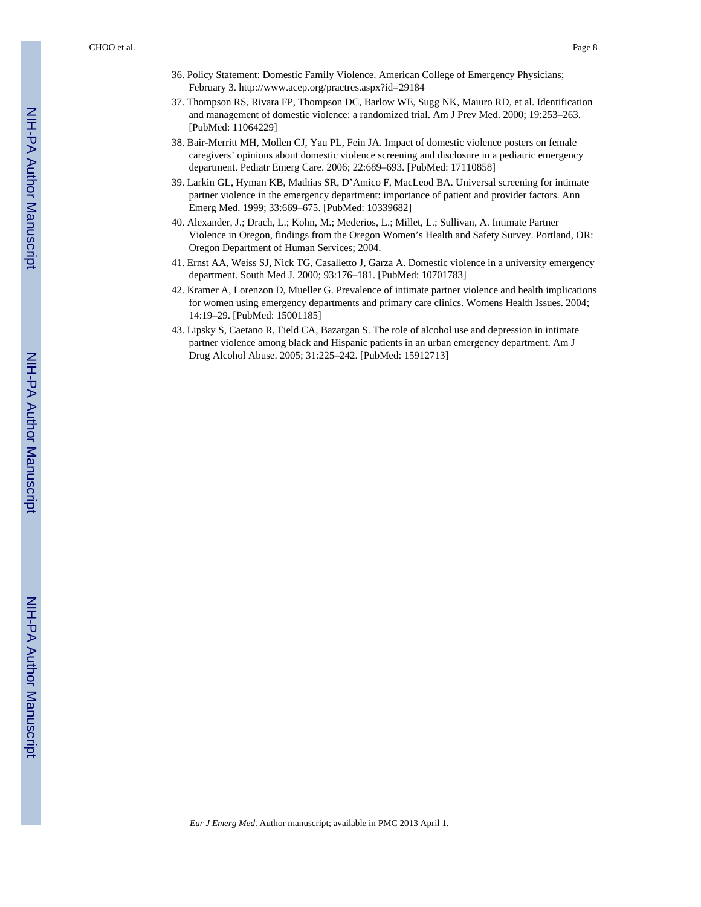- 36. Policy Statement: Domestic Family Violence. American College of Emergency Physicians; February 3. <http://www.acep.org/practres.aspx?id=29184>
- 37. Thompson RS, Rivara FP, Thompson DC, Barlow WE, Sugg NK, Maiuro RD, et al. Identification and management of domestic violence: a randomized trial. Am J Prev Med. 2000; 19:253–263. [PubMed: 11064229]
- 38. Bair-Merritt MH, Mollen CJ, Yau PL, Fein JA. Impact of domestic violence posters on female caregivers' opinions about domestic violence screening and disclosure in a pediatric emergency department. Pediatr Emerg Care. 2006; 22:689–693. [PubMed: 17110858]
- 39. Larkin GL, Hyman KB, Mathias SR, D'Amico F, MacLeod BA. Universal screening for intimate partner violence in the emergency department: importance of patient and provider factors. Ann Emerg Med. 1999; 33:669–675. [PubMed: 10339682]
- 40. Alexander, J.; Drach, L.; Kohn, M.; Mederios, L.; Millet, L.; Sullivan, A. Intimate Partner Violence in Oregon, findings from the Oregon Women's Health and Safety Survey. Portland, OR: Oregon Department of Human Services; 2004.
- 41. Ernst AA, Weiss SJ, Nick TG, Casalletto J, Garza A. Domestic violence in a university emergency department. South Med J. 2000; 93:176–181. [PubMed: 10701783]
- 42. Kramer A, Lorenzon D, Mueller G. Prevalence of intimate partner violence and health implications for women using emergency departments and primary care clinics. Womens Health Issues. 2004; 14:19–29. [PubMed: 15001185]
- 43. Lipsky S, Caetano R, Field CA, Bazargan S. The role of alcohol use and depression in intimate partner violence among black and Hispanic patients in an urban emergency department. Am J Drug Alcohol Abuse. 2005; 31:225–242. [PubMed: 15912713]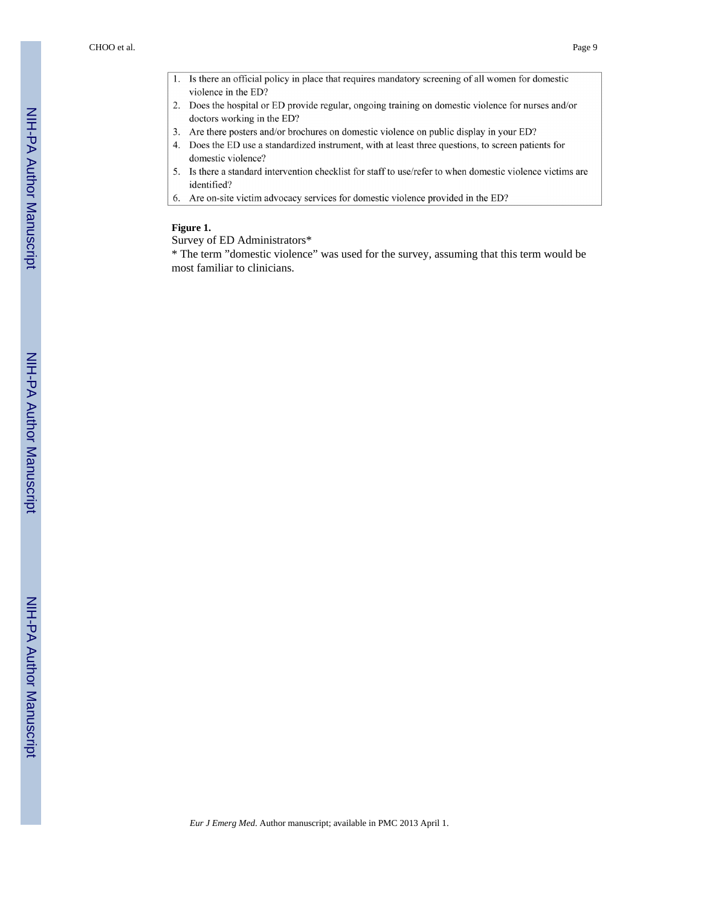- 1. Is there an official policy in place that requires mandatory screening of all women for domestic violence in the ED?
- 2. Does the hospital or ED provide regular, ongoing training on domestic violence for nurses and/or doctors working in the ED?
- 3. Are there posters and/or brochures on domestic violence on public display in your ED?
- 4. Does the ED use a standardized instrument, with at least three questions, to screen patients for domestic violence?
- 5. Is there a standard intervention checklist for staff to use/refer to when domestic violence victims are identified?
- 6. Are on-site victim advocacy services for domestic violence provided in the ED?

#### **Figure 1.**

#### Survey of ED Administrators\*

\* The term "domestic violence" was used for the survey, assuming that this term would be most familiar to clinicians.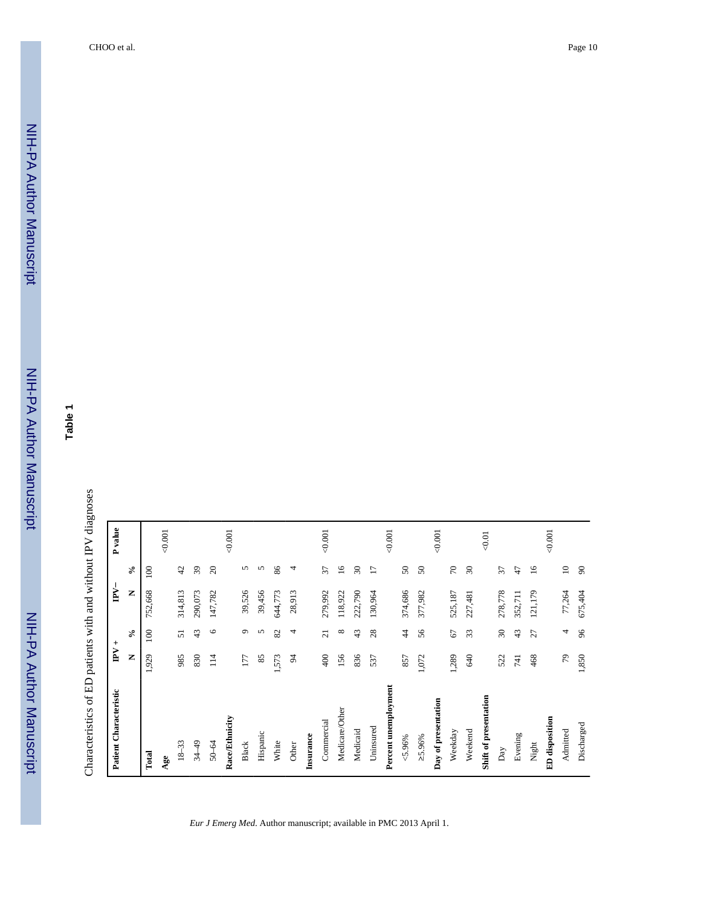**Table 1**

| Patient Characteristic | $\mathbf{P} \mathbf{V}$ + |                         | $\mathbb{P}\mathsf{V}^\perp$ |                            | P value |
|------------------------|---------------------------|-------------------------|------------------------------|----------------------------|---------|
|                        | Z                         | $\mathcal{S}_{\bullet}$ | Z                            | $\epsilon$                 |         |
| Total                  | 1,929                     | 100                     | 752,668                      | $\approx$                  |         |
| Age                    |                           |                         |                              |                            | 0.001   |
| $18 - 33$              | 985                       | 51                      | 314,813                      | 42                         |         |
| $34 - 49$              | 830                       | 43                      | 290,073                      | $\overline{39}$            |         |
| 50-64                  | 114                       | $\circ$                 | 147,782                      | $\Omega$                   |         |
| Race/Ethnicity         |                           |                         |                              |                            | 0.001   |
| Black                  | 177                       | $\circ$                 | 39,526                       | 5                          |         |
| Hispanic               | 85                        | 5                       | 39,456                       | 5                          |         |
| White                  | 1,573                     | 82                      | 644,773                      | 86                         |         |
| Other                  | S,                        | 4                       | 28,913                       | 4                          |         |
| Insurance              |                           |                         |                              |                            |         |
| Commercial             | 400                       | $\overline{z}$          | 279,992                      | 57                         | 0.001   |
| Medicare/Other         | 156                       | ${}^{\circ}$            | 118,922                      | $\overline{16}$            |         |
| Medicaid               | 836                       | 43                      | 222,790                      | $\boldsymbol{\mathcal{S}}$ |         |
| Uninsured              | 537                       | 28                      | 130,964                      | $\overline{1}$             |         |
| Percent unemployment   |                           |                         |                              |                            | 0.001   |
| $< 5.96\%$             | 857                       | $\ddot{4}$              | 374,686                      | $50\,$                     |         |
| 25.96%                 | 1,072                     | 56                      | 377,982                      | $50\,$                     |         |
| Day of presentation    |                           |                         |                              |                            | 0.001   |
| Weekday                | 1,289                     | 67                      | 525,187                      | $\sqrt{2}$                 |         |
| Weekend                | 640                       | 33                      | 227,481                      | $30\,$                     |         |
| Shift of presentation  |                           |                         |                              |                            | $-0.01$ |
| $_{\mathrm{Day}}$      | 522                       | $\overline{30}$         | 278,778                      | 57                         |         |
| Evening                | 741                       | 43                      | 352,711                      | 47                         |         |
| Night                  | 468                       | 27                      | 121,179                      | $\overline{16}$            |         |
| ED disposition         |                           |                         |                              |                            | 0.001   |
| Admitted               | $\epsilon_L$              | 4                       | 77,264                       | $\mathbf{C}$               |         |
| Discharged             | 1,850                     | 96                      | 675,404                      | $\infty$                   |         |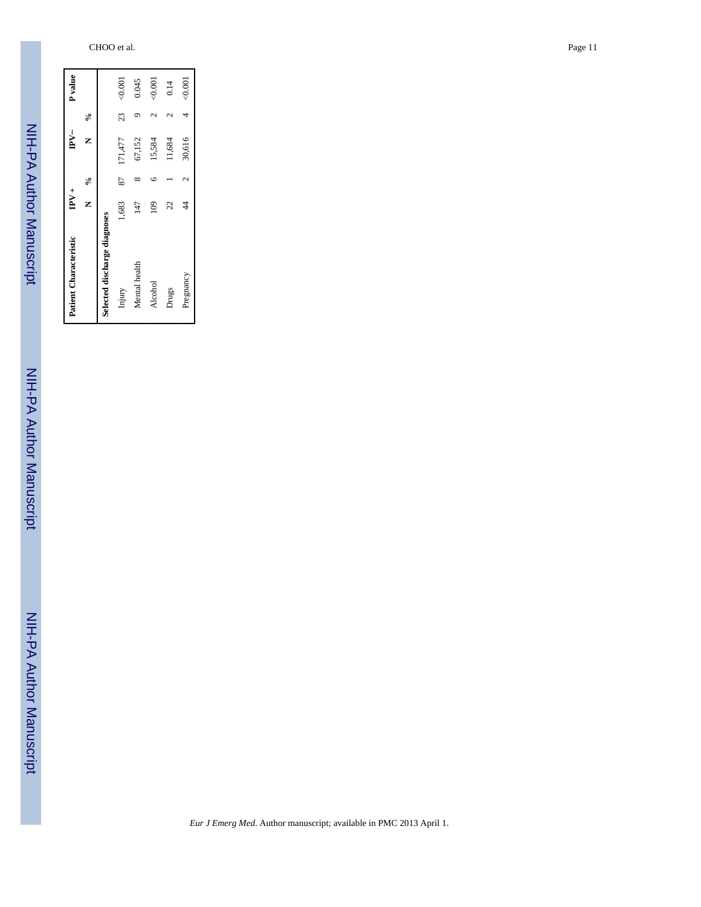| <b>Patient Characteristic</b> | $\mathbf{P} \mathbf{V}$ + |                          | $PV-$   |    | P <sub>value</sub> |
|-------------------------------|---------------------------|--------------------------|---------|----|--------------------|
|                               | z                         | $\frac{6}{6}$            | ∝<br>≍  |    |                    |
| Selected discharge diagnoses  |                           |                          |         |    |                    |
| Injury                        | 1,683                     | 87                       | 171,477 | 23 | 0.001              |
| Mental health                 | 147                       |                          | 67,152  |    | 0.045              |
| Alcohol                       | $\frac{8}{2}$             | ١c                       | 15,584  |    | 0.001              |
| Drugs                         | 22                        |                          | 11,684  |    | 0.14               |
| Pregnancy                     | 4                         | $\overline{\mathcal{C}}$ | 30,616  | 4  | 0.001              |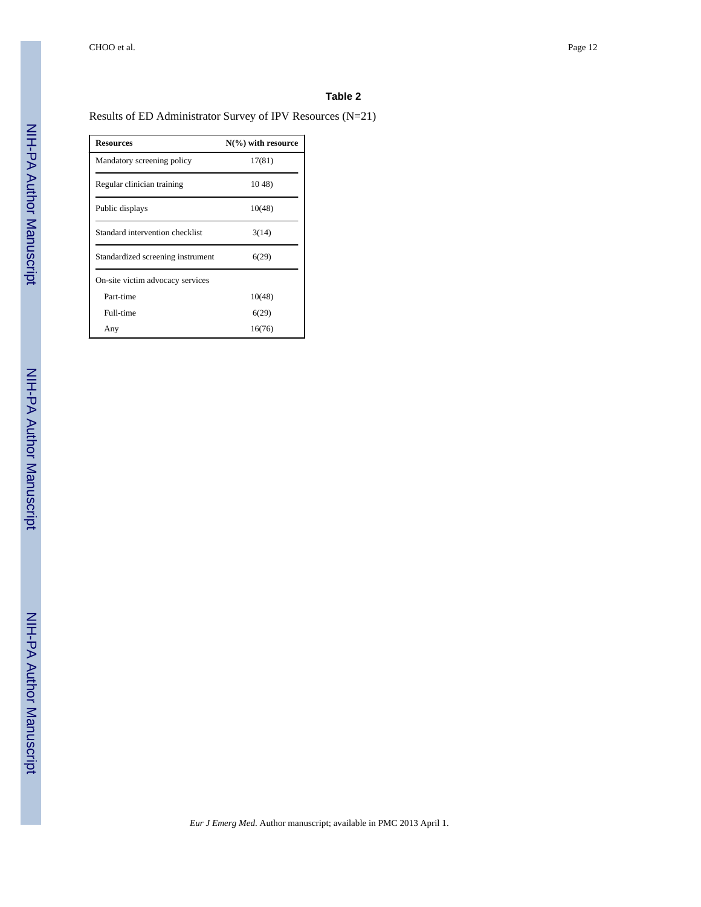#### **Table 2**

## Results of ED Administrator Survey of IPV Resources (N=21)

| <b>Resources</b>                  | $N(\%)$ with resource |
|-----------------------------------|-----------------------|
| Mandatory screening policy        | 17(81)                |
| Regular clinician training        | 1048                  |
| Public displays                   | 10(48)                |
| Standard intervention checklist   | 3(14)                 |
| Standardized screening instrument | 6(29)                 |
| On-site victim advocacy services  |                       |
| Part-time                         | 10(48)                |
| Full-time                         | 6(29)                 |
| Any                               | 16(76)                |